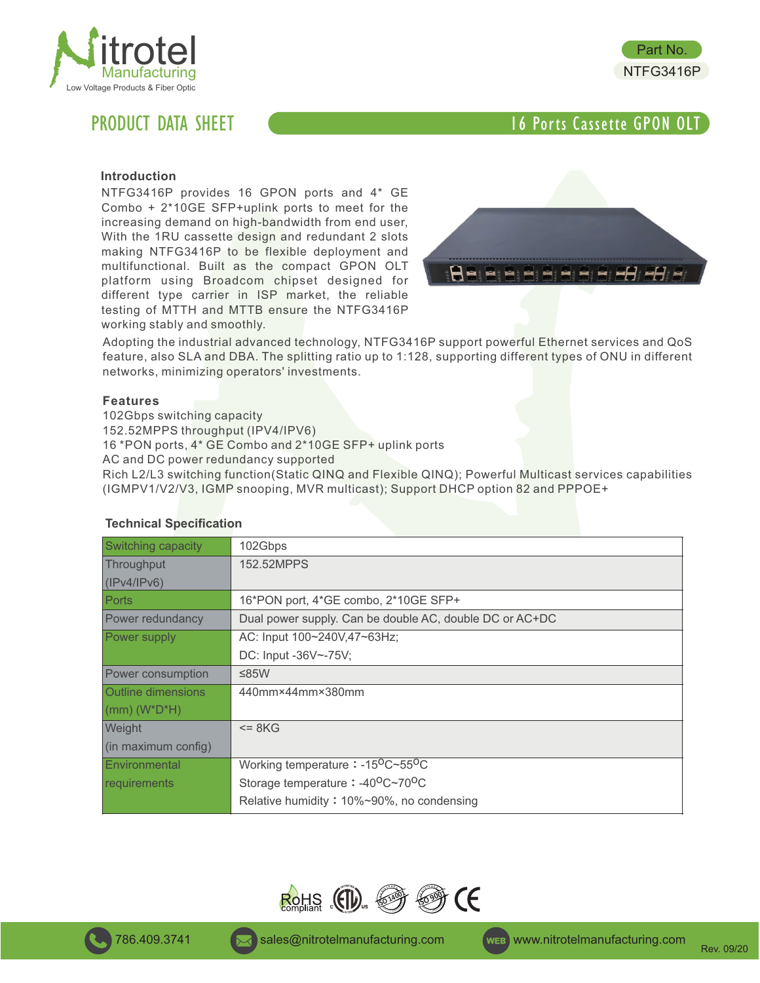



PRODUCT DATA SHEET **16 Post of the CASSET CONTROLLER CONTROLLER CONTROLLER CONTROLLER CONTROLLER CONTROLLER CONTROLLER CONTROLLER CONTROLLER CONTROLLER CONTROLLER CONTROLLER CONTROLLER CONTROLLER CONTROLLER CONTROLLER CONT** 

# **Introduction**

NTFG3416P provides 16 GPON ports and 4\* GE Combo + 2\*10GE SFP+uplink ports to meet for the increasing demand on high-bandwidth from end user, With the 1RU cassette design and redundant 2 slots making NTFG3416P to be flexible deployment and multifunctional. Built as the compact GPON OLT platform using Broadcom chipset designed for different type carrier in ISP market, the reliable testing of MTTH and MTTB ensure the NTFG3416P working stably and smoothly.



Adopting the industrial advanced technology, NTFG3416P support powerful Ethernet services and QoS feature, also SLA and DBA. The splitting ratio up to 1:128, supporting different types of ONU in different networks, minimizing operators' investments.

### **Features**

102Gbps switching capacity

152.52MPPS throughput (IPV4/IPV6)

16 \*PON ports, 4\* GE Combo and 2\*10GE SFP+ uplink ports

AC and DC power redundancy supported

Rich L2/L3 switching function(Static QINQ and Flexible QINQ); Powerful Multicast services capabilities (IGMPV1/V2/V3, IGMP snooping, MVR multicast); Support DHCP option 82 and PPPOE+

| <b>Switching capacity</b> | 102Gbps                                                   |  |
|---------------------------|-----------------------------------------------------------|--|
| Throughput                | 152.52MPPS                                                |  |
| (IPV4/IPV6)               |                                                           |  |
| Ports                     | 16*PON port, 4*GE combo, 2*10GE SFP+                      |  |
| Power redundancy          | Dual power supply. Can be double AC, double DC or AC+DC   |  |
| Power supply              | AC: Input 100~240V,47~63Hz;                               |  |
|                           | DC: Input -36V~-75V;                                      |  |
| Power consumption         | ≤85W                                                      |  |
| <b>Outline dimensions</b> | 440mm×44mm×380mm                                          |  |
| $\vert$ (mm) (W*D*H)      |                                                           |  |
| Weight                    | $= 8KG$                                                   |  |
| (in maximum config)       |                                                           |  |
| Environmental             | Working temperature: $-15^{\circ}$ C~55 <sup>o</sup> C    |  |
| requirements              | Storage temperature: -40 <sup>o</sup> C~70 <sup>o</sup> C |  |
|                           | Relative humidity: $10\% \sim 90\%$ , no condensing       |  |
|                           |                                                           |  |

# **Technical Specification**

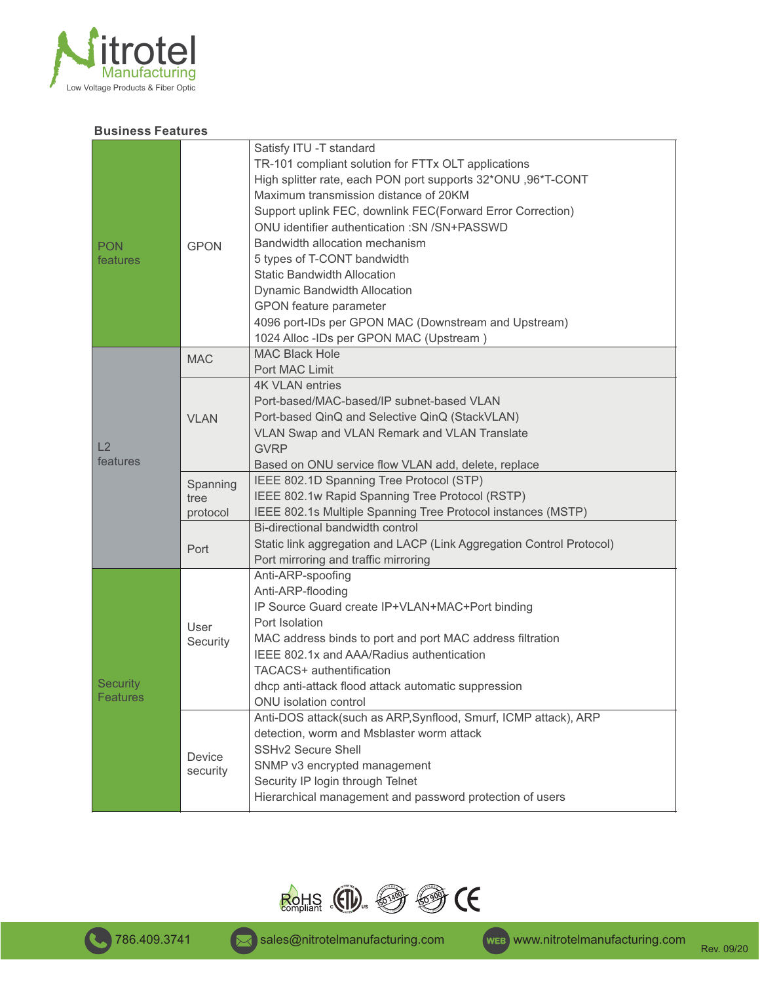

# **Business Features**

| <b>PON</b><br>features | <b>GPON</b>                  | Satisfy ITU -T standard<br>TR-101 compliant solution for FTTx OLT applications<br>High splitter rate, each PON port supports 32*ONU, 96*T-CONT<br>Maximum transmission distance of 20KM<br>Support uplink FEC, downlink FEC(Forward Error Correction)<br>ONU identifier authentication : SN / SN+PASSWD<br>Bandwidth allocation mechanism<br>5 types of T-CONT bandwidth<br><b>Static Bandwidth Allocation</b><br>Dynamic Bandwidth Allocation<br>GPON feature parameter<br>4096 port-IDs per GPON MAC (Downstream and Upstream)<br>1024 Alloc -IDs per GPON MAC (Upstream) |
|------------------------|------------------------------|-----------------------------------------------------------------------------------------------------------------------------------------------------------------------------------------------------------------------------------------------------------------------------------------------------------------------------------------------------------------------------------------------------------------------------------------------------------------------------------------------------------------------------------------------------------------------------|
| L2<br>features         | <b>MAC</b>                   | <b>MAC Black Hole</b><br>Port MAC Limit                                                                                                                                                                                                                                                                                                                                                                                                                                                                                                                                     |
|                        | <b>VLAN</b>                  | <b>4K VLAN entries</b><br>Port-based/MAC-based/IP subnet-based VLAN<br>Port-based QinQ and Selective QinQ (StackVLAN)<br>VLAN Swap and VLAN Remark and VLAN Translate<br><b>GVRP</b><br>Based on ONU service flow VLAN add, delete, replace                                                                                                                                                                                                                                                                                                                                 |
|                        | Spanning<br>tree<br>protocol | IEEE 802.1D Spanning Tree Protocol (STP)<br>IEEE 802.1w Rapid Spanning Tree Protocol (RSTP)<br>IEEE 802.1s Multiple Spanning Tree Protocol instances (MSTP)                                                                                                                                                                                                                                                                                                                                                                                                                 |
|                        | Port                         | Bi-directional bandwidth control<br>Static link aggregation and LACP (Link Aggregation Control Protocol)<br>Port mirroring and traffic mirroring                                                                                                                                                                                                                                                                                                                                                                                                                            |
| Security<br>Features   | User<br>Security             | Anti-ARP-spoofing<br>Anti-ARP-flooding<br>IP Source Guard create IP+VLAN+MAC+Port binding<br>Port Isolation<br>MAC address binds to port and port MAC address filtration<br>IEEE 802.1x and AAA/Radius authentication<br>TACACS+ authentification<br>dhcp anti-attack flood attack automatic suppression<br>ONU isolation control                                                                                                                                                                                                                                           |
|                        | Device<br>security           | Anti-DOS attack(such as ARP, Synflood, Smurf, ICMP attack), ARP<br>detection, worm and Msblaster worm attack<br><b>SSHv2 Secure Shell</b><br>SNMP v3 encrypted management<br>Security IP login through Telnet<br>Hierarchical management and password protection of users                                                                                                                                                                                                                                                                                                   |

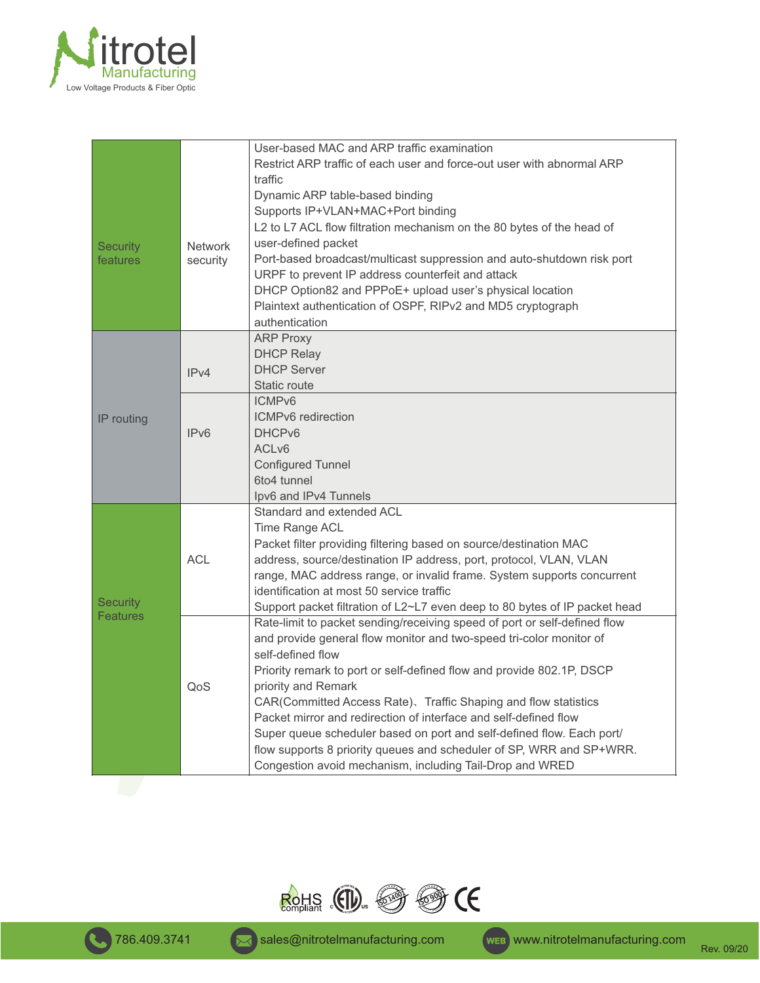

|                 |                            | User-based MAC and ARP traffic examination                                 |
|-----------------|----------------------------|----------------------------------------------------------------------------|
|                 |                            | Restrict ARP traffic of each user and force-out user with abnormal ARP     |
|                 |                            | traffic                                                                    |
|                 |                            | Dynamic ARP table-based binding                                            |
|                 |                            | Supports IP+VLAN+MAC+Port binding                                          |
|                 |                            | L2 to L7 ACL flow filtration mechanism on the 80 bytes of the head of      |
| <b>Security</b> | <b>Network</b><br>security | user-defined packet                                                        |
| features        |                            | Port-based broadcast/multicast suppression and auto-shutdown risk port     |
|                 |                            | URPF to prevent IP address counterfeit and attack                          |
|                 |                            | DHCP Option82 and PPPoE+ upload user's physical location                   |
|                 |                            | Plaintext authentication of OSPF, RIPv2 and MD5 cryptograph                |
|                 |                            | authentication                                                             |
|                 |                            | <b>ARP Proxy</b>                                                           |
|                 |                            | <b>DHCP Relay</b>                                                          |
|                 | IPv4                       | <b>DHCP Server</b>                                                         |
|                 |                            | Static route                                                               |
|                 |                            | ICMP <sub>v6</sub>                                                         |
| IP routing      |                            | ICMPv6 redirection                                                         |
|                 | IPv6                       | DHCP <sub>v6</sub>                                                         |
|                 |                            | ACL <sub>v6</sub>                                                          |
|                 |                            | <b>Configured Tunnel</b>                                                   |
|                 |                            | 6to4 tunnel                                                                |
|                 |                            | Ipv6 and IPv4 Tunnels                                                      |
|                 |                            | Standard and extended ACL                                                  |
|                 |                            | Time Range ACL                                                             |
|                 |                            | Packet filter providing filtering based on source/destination MAC          |
|                 | <b>ACL</b>                 | address, source/destination IP address, port, protocol, VLAN, VLAN         |
| <b>Security</b> |                            | range, MAC address range, or invalid frame. System supports concurrent     |
|                 |                            | identification at most 50 service traffic                                  |
|                 |                            | Support packet filtration of L2~L7 even deep to 80 bytes of IP packet head |
| <b>Features</b> |                            | Rate-limit to packet sending/receiving speed of port or self-defined flow  |
|                 |                            | and provide general flow monitor and two-speed tri-color monitor of        |
|                 | QoS                        | self-defined flow                                                          |
|                 |                            | Priority remark to port or self-defined flow and provide 802.1P, DSCP      |
|                 |                            | priority and Remark                                                        |
|                 |                            | CAR(Committed Access Rate). Traffic Shaping and flow statistics            |
|                 |                            | Packet mirror and redirection of interface and self-defined flow           |
|                 |                            | Super queue scheduler based on port and self-defined flow. Each port/      |
|                 |                            | flow supports 8 priority queues and scheduler of SP, WRR and SP+WRR.       |
|                 |                            | Congestion avoid mechanism, including Tail-Drop and WRED                   |